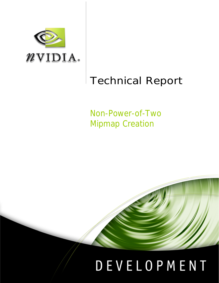

# Technical Report

Non-Power-of-Two Mipmap Creation



# DEVELOPMENT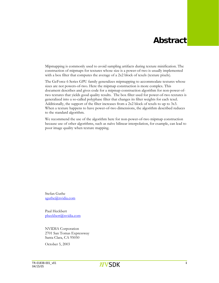# **Abstract**

Mipmapping is commonly used to avoid sampling artifacts during texture minification. The construction of mipmaps for textures whose size is a power-of-two is usually implemented with a box filter that computes the average of a 2x2 block of texels (texture pixels).

The GeForce 6 Series GPU family generalizes mipmapping to accommodate textures whose sizes are not powers-of-two. Here the mipmap construction is more complex. This document describes and gives code for a mipmap construction algorithm for non-power-oftwo textures that yields good quality results. The box filter used for power-of-two textures is generalized into a so-called polyphase filter that changes its filter weights for each texel. Additionally, the support of the filter increases from a 2x2 block of texels to up to 3x3. When a texture happens to have power-of-two dimensions, the algorithm described reduces to the standard algorithm.

We recommend the use of the algorithm here for non-power-of-two mipmap construction because use of other algorithms, such as naïve bilinear interpolation, for example, can lead to poor image quality when texture mapping.

Stefan Guthe sguthe@nvidia.com

Paul Heckbert [pheckbert@nvidia.com](mailto:pheckbert@nvidia.com)

NVIDIA Corporation 2701 San Tomas Expressway Santa Clara, CA 95050

October 5, 2003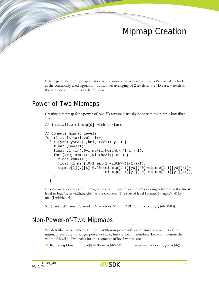# Mipmap Creation

Before generalizing mipmap creation to the non-power-of-two setting, let's first take a look at the commonly used algorithm. It involves averaging of 2 texels in the 1D case, 4 texels in the 2D case and 8 texels in the 3D case.

### Power-of-Two Mipmaps

Creating a mipmap for a power-of-two 2D texture is usually done with this simple box filter algorithm.

```
// Initialize mipmap[0] with texture 
... 
// Compute mipmap levels 
for (l=1; l<=maxlevel; l++)for (y=0; y< max(1, height>>1); y++) {
     float y0=y<<1; 
    float y1 = min(y0+1,max(1,height) > (1-1))-1;
    for (x=0; x< max(1, width>>1); x++) {
       float x0=x<<1; 
      float x1 = min(x0+1,max(1,width) > (1-1))-1;
      \text{minmap}[1][y][x]=0.25*(\text{minmap}[1-1][y0][x0]+\text{minmap}[1-1][y0][x1]+ mipmap[l-1][y1][x0]+mipmap[l-1][y1][x1]); 
     } 
   }
```
It constructs an array of 2D images mipmap[l], where level number l ranges from 0 at the finest level to  $log2(max(width, height))$  at the coarsest. The size of level l is  $max(1, height>>1)$  by max(1,width>>l).

See [Lance Williams, Pyramidal Parametrics, SIGGRAPH '83 Proceedings, July 1983].

### Non-Power-of-Two Mipmaps

We describe the scheme in 1D first. With non-power-of-two textures, the widths of the mipmap levels are no longer powers of two, but can be any number. Let wid[i] denote the width of level l. Two rules for the sequence of level widths are:

**Q** Rounding Down: wid[I] = floor(width>>1), maxlevel = floor(log2(width))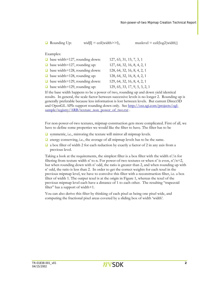**a** Rounding Up: wid[l] = ceil(width>>1), maxlevel = ceil(log2(width))

Examples:

| $\Box$ base width=127, rounding down: | 127, 63, 31, 15, 7, 3, 1       |
|---------------------------------------|--------------------------------|
| $\Box$ base width=127, rounding up:   | 127, 64, 32, 16, 8, 4, 2, 1    |
| $\Box$ base width=128, rounding down: | 128, 64, 32, 16, 8, 4, 2, 1    |
| $\Box$ base width=128, rounding up:   | 128, 64, 32, 16, 8, 4, 2, 1    |
| $\Box$ base width=129, rounding down: | 129, 64, 32, 16, 8, 4, 2, 1    |
| $\Box$ base width=129, rounding up:   | 129, 65, 33, 17, 9, 5, 3, 2, 1 |

If the base width happens to be a power of two, rounding up and down yield identical results. In general, the scale factor between successive levels is no longer 2. Rounding up is generally preferable because less information is lost between levels. But current Direct3D and OpenGL APIs support rounding down only. See [http://oss.sgi.com/projects/ogl](http://oss.sgi.com/projects/ogl-sample/registry/ARB/texture_non_power_of_two.txt)sample/registry/ARB/texture\_non\_power\_of\_two.txt.

For non-power-of-two textures, mipmap construction gets more complicated. First of all, we have to define some properties we would like the filter to have. The filter has to be

- $\Box$  symmetric, i.e., mirroring the texture will mirror all mipmap levels.
- $\Box$  energy conserving, i.e., the average of all mipmap levels has to be the same.
- $\Box$  a box filter of width 2 for each reduction by exactly a factor of 2 in any axis from a previous level.

Taking a look at the requirements, the simplest filter is a box filter with the width n'/n for filtering from texture width n' to n. For power-of-two textures or when n' is even,  $n'/n=2$ , but when rounding down with n' odd, the ratio is greater than 2, and when rounding up with n' odd, the ratio is less than 2. In order to get the correct weights for each texel in the previous mipmap level, we have to convolve this filter with a reconstruction filter, i.e. a box filter of width 1. The output texel is at the origin in Figure 1, whereas the texel of the previous mipmap level each have a distance of 1 to [each othe](#page-4-0)r. The resulting "trapezoid filter" has a support of width+1.

You can also derive this filter by thinking of each pixel as being one pixel wide, and computing the fractional pixel areas covered by a sliding box of width 'width'.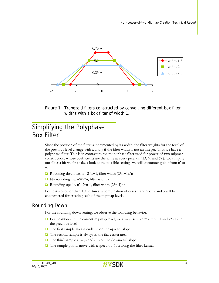<span id="page-4-0"></span>

Figure 1. Trapezoid filters constructed by convolving different box filter widths with a box filter of width 1.

## Simplifying the Polyphase Box Filter

Since the position of the filter is incremented by its width, the filter weights for the texel of the previous level change with x and y if the filter width is not an integer. Thus we have a polyphase filter. This is in contrast to the monophase filter used for power-of-two mipmap construction, whose coefficients are the same at every pixel (in 1D,  $\frac{1}{2}$  and  $\frac{1}{2}$ ). To simplify our filter a bit we first take a look at the possible settings we will encounter going from n' to n.

- **Q** Rounding down: i.e.  $n'=2*n+1$ , filter width  $(2*n+1)/n$
- $\Box$  No rounding: i.e. n'=2\*n, filter width 2
- Rounding up: i.e.  $n'=2*n-1$ , filter width  $(2*n-1)/n$

For textures other than 1D textures, a combination of cases 1 and 2 or 2 and 3 will be encountered for creating each of the mipmap levels.

#### Rounding Down

For the rounding down setting, we observe the following behavior.

- $\Box$  For position x in the current mipmap level, we always sample  $2*x$ ,  $2*x+1$  and  $2*x+2$  in the previous level.
- $\Box$  The first sample always ends up on the upward slope.
- $\Box$  The second sample is always in the flat center area.
- $\Box$  The third sample always ends up on the downward slope.
- $\Box$  The sample points move with a speed of -1/n along the filter kernel.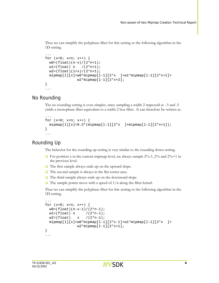Thus we can simplify the polyphase filter for this setting to the following algorithm in the 1D setting.

```
... 
for (x=0; x<n; x++) {
 w0 = (float)(n-x)/(2*n+1);w1 = (float) n / (2*n+1);w2 = (float)(1+x)/(2*n+1);minmap[1][x]=w0*minmap[1-1][2*x] + w1*minmap[1-1][2*x+1] + w2*mipmap[l-1][2*x+2]; 
} 
...
```
#### No Rounding

The no rounding setting is even simpler, since sampling a width 2 trapezoid at -.5 and .5 yields a monophase filter equivalent to a width 2 box filter. It can therefore be written as.

```
... 
for (x=0; x<n; x++) {
 minmap[1][x]=0.5*(minmap[1-1][2*x] + minmap[1-1][2*x+1]);} 
...
```
#### Rounding Up

The behavior for the rounding up setting is very similar to the rounding down setting.

- $\Box$  For position x in the current mipmap level, we always sample  $2*x-1$ ,  $2*x$  and  $2*x+1$  in the previous level.
- $\Box$  The first sample always ends up on the upward slope.
- $\Box$  The second sample is always in the flat center area.
- $\Box$  The third sample always ends up on the downward slope.
- $\Box$  The sample points move with a speed of 1/n along the filter kernel.

Thus we can simplify the polyphase filter for this setting to the following algorithm in the 1D setting.

```
... 
for (x=0; x<n; x++) {
 w0 = (float)(n-x-1)/(2*n-1);wl = (float) n / (2*n-1);w2 = (float) x /(2 * n - 1);
 minmap[1][x]=w0*minmap[1-1][2*x-1]+w1*minmap[1-1][2*x] +w2*mipmap[1-1][2*x+1];
} 
...
```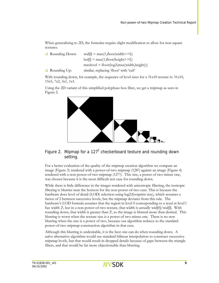When generalizing to 2D, the formulas require slight modification to allow for non-square textures.

| $\Box$ Rounding Down: | $\text{wid}$ [I] = max(1,floor(width>>I))                  |  |
|-----------------------|------------------------------------------------------------|--|
|                       | $\text{hei}[l] = \max(1, \text{floor}(\text{height} > l))$ |  |
|                       | $maxlevel = floor(log2(max(width, height)))$               |  |
| $\Box$ Rounding Up:   | similar, replacing 'floor' with 'ceil'                     |  |

With rounding down, for example, the sequence of level sizes for a  $31x10$  texture is:  $31x10$ , 15x5, 7x2, 3x1, 1x1.

<span id="page-6-0"></span>Using the 2D variant of this simplified polyphase box filter, we get a mipmap as seen in [Figure 2.](#page-6-0) 



#### Figure 2. Mipmap for a  $127<sup>2</sup>$  checkerboard texture and rounding down setting.

For a better evaluation of the quality of the mipmap creation algorithm we compare an image ([Figure 3\)](#page-7-0) rendered with a power-of-two mipmap (1282) against an image ([Figure 4\)](#page-7-1)  rendered with a non-power-of-two mipmap (1272). This size, a power of two minus one, was chosen because it is the most difficult test case for rounding down.

While there is little difference in the images rendered with anisotropic filtering, the isotropic filtering is blurrier near the horizon for the non-power-of-two case. This is because the hardware does level of detail (LOD) selection using log2(footprint size), which assumes a factor of 2 between successive levels, but the mipmap deviates from this rule. The hardware's LOD formula assumes that the region in level 0 corresponding to a texel at level l has width 2<sup>1</sup>, but in a non-power-of-two texture, that width is actually wid[0]/wid[l]. With rounding down, that width is greater than 2<sup>1</sup>, so the image is blurred more than desired. This blurring is worst when the texture size is a power of two minus one. There is no new blurring when the size is a power of two, because our algorithm reduces to the standard power-of-two mipmap construction algorithm in that case.

Although this blurring is undesirable, it is the best one can do when rounding down. A naïve alternative algorithm would use standard bilinear interpolation to construct successive mipmap levels, but that would result in dropped details because of gaps between the triangle filters, and that would be far more objectionable than blurring.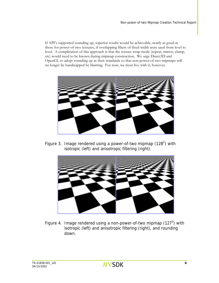If API's supported rounding up, superior results would be achievable, nearly as good as those for power-of-two textures, if overlapping filters of fixed width were used from level to level. A complication of this approach is that the texture wrap mode (repeat, mirror, clamp, etc) would need to be known during mipmap construction. We urge Direct3D and OpenGL to adopt rounding up as their standards so that non-power-of-two mipmaps will no longer be handicapped by blurring. For now, we must live with it, however.

<span id="page-7-0"></span>

Figure 3. Image rendered using a power-of-two mipmap (128<sup>2</sup>) with isotropic (left) and anisotropic filtering (right).

<span id="page-7-1"></span>

Figure 4. Image rendered using a non-power-of-two mipmap (127<sup>2</sup>) with isotropic (left) and anisotropic filtering (right), and rounding down.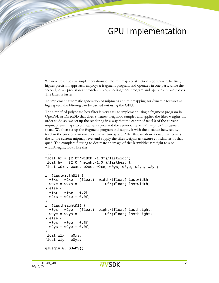# GPU Implementation

We now describe two implementations of the mipmap construction algorithm. The first, higher precision approach employs a fragment program and operates in one pass, while the second, lower precision approach employs no fragment program and operates in two passes. The latter is faster.

To implement automatic generation of mipmaps and mipmapping for dynamic textures at high speed, the filtering can be carried out using the GPU.

The simplified polyphase box filter is very easy to implement using a fragment program in OpenGL or Direct3D that does 9 nearest neighbor samples and applies the filter weights. In order to do so, we set up the rendering in a way that the center of texel 0 of the current mipmap level maps to 0 in camera space and the center of texel n-1 maps to 1 in camera space. We then set up the fragment program and supply it with the distance between two texel in the previous mipmap level in texture space. After that we draw a quad that covers the whole current mipmap level and supply the filter weights as texture coordinates of that quad. The complete filtering to decimate an image of size lastwidth\*lastheight to size width\*height, looks like this.

```
... 
float hx = (2.0f*width -1.0f)/lastwidth;
float hy = (2.0f*height-1.0f)/lastheight; 
float w0xs, w0xe, w2xs, w2xe, w0ys, w0ye, w2ys, w2ye; 
if (lastwidth&1) { 
 w0xs = w2xe = (float) width/(float) lastwidth;w0xe = w2xs = 1.0f/(float) lastwidth;} else { 
 w0xs = w0xe = 0.5f;
 w2xs = w2xe = 0.0f;
} 
if (lastheight&1) { 
 w0ys = w2ye = (float) height/(float) lastheight;w0ye = w2ys = 1.0f/(float) lastheight;} else { 
 w0ys = w0ye = 0.5f;
 w2ys = w2ye = 0.0f;
} 
float w1x = w0xs;float w1y = w0ysglBegin(GL_QUADS);
```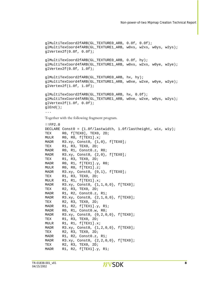```
glMultiTexCoord2fARB(GL_TEXTURE0_ARB, 0.0f, 0.0f); 
glMultiTexCoord4fARB(GL_TEXTURE1_ARB, w0xs, w2xs, w0ys, w2ys); 
glVertex2f(0.0f, 0.0f); 
glMultiTexCoord2fARB(GL_TEXTURE0_ARB, 0.0f, hy); 
glMultiTexCoord4fARB(GL_TEXTURE1_ARB, w0xs, w2xs, w0ye, w2ye); 
glVertex2f(0.0f, 1.0f); 
glMultiTexCoord2fARB(GL_TEXTURE0_ARB, hx, hy); 
glMultiTexCoord4fARB(GL_TEXTURE1_ARB, w0xe, w2xe, w0ye, w2ye); 
glVertex2f(1.0f, 1.0f); 
glMultiTexCoord2fARB(GL_TEXTURE0_ARB, hx, 0.0f); 
glMultiTexCoord4fARB(GL_TEXTURE1_ARB, w0xe, w2xe, w0ys, w2ys); 
glVertex2f(1.0f, 0.0f); 
glEnd(); 
... 
Together with the following fragment program. 
!!FP2.0 
DECLARE Const0 = \{1.0f/lastwidth, 1.0f/lastheight, w1x, w1y\};
TEX RO, f[TEXO], TEXO, 2D;
MULR R0, R0, f[TEX1].x; 
MADR R3.xy, Const0, \{1,0\}, f[TEX0];
TEX R1, R3, TEX0, 2D; 
MADR R0, R1, Const0.z, R0;
MADR R3.xy, Const0, \{2,0\}, f[TEX0];
TEX R1, R3, TEX0, 2D; 
MADR RO, R1, f[TEX1].y, RO;
MULR R0, R0, f[TEX1].z; 
MADR R3.xy, Const0, \{0,1\}, f[TEX0];
TEX R1, R3, TEX0, 2D; 
MULR R1, R1, f[TEX1].x; 
MADR R3.xy, Const0, {1,1,0,0}, f[TEX0]; 
TEX R2, R3, TEX0, 2D; 
MADR R1, R2, Const0.z, R1;
MADR R3.xy, Const0, {2,1,0,0}, f[TEX0]; 
TEX R2, R3, TEX0, 2D; 
MADR R1, R2, f[TEX1].y, R1; 
MADR R0, R1, Const0.w, R0;
MADR R3.xy, Const0, {0,2,0,0}, f[TEX0]; 
TEX R1, R3, TEX0, 2D; 
MULR R1, R1, f[TEX1].x; 
MADR R3.xy, Const0, {1,2,0,0}, f[TEX0]; 
TEX R2, R3, TEX0, 2D; 
MADR R1, R2, Const0.z, R1;
MADR R3.xy, Const0, \{2, 2, 0, 0\}, f[TEX0];
TEX R2, R3, TEX0, 2D;
MADR R1, R2, f[TEX1].y, R1;
```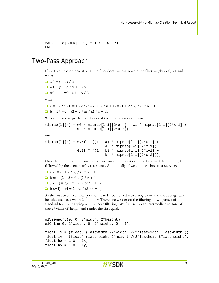```
MADR o[COLR], R1, f[TEX1].w, R0; 
END
```
### Two-Pass Approach

If we take a closer look at what the filter does, we can rewrite the filter weights w0, w1 and w2 as

 $\Box$  w() = (1 - a) / 2  $\Box$  w1 = (1 - b) / 2 + a / 2  $\Box$  w2 = 1 - w0 - w1 = b / 2 with **a** = 1 - 2 \* w0 = 1 - 2 \* (n - x) / (2 \* n + 1) = (1 + 2 \* x) / (2 \* n + 1)  $\Box$  b = 2 \* w2 = (2 + 2 \* x) / (2 \* n + 1).

We can then change the calculation of the current mipmap from

 $\text{minmap}[1][x] = w0 * \text{minmap}[1-1][2*x] + w1 * \text{minmap}[1-1][2*x+1] +$  $w2 * mipmap[1-1][2*x+2];$ 

into

 $mipmap[1][x] = 0.5f * ((1 - a) * mipmap[1-1][2*x] +$ a  $*$  mipmap $[1-1][2*x+1]$ ) +  $0.5f * ((1 - b) * mipmap[1-1][2*x+1] +$ b  $*$  mipmap $[1-1][2*x+2])$ ;

Now the filtering is implemented as two linear interpolations, one by a, and the other by b, followed by the average of two textures. Additionally, if we compare  $b(x)$  to  $a(x)$ , we get:

 $a(x) = (1 + 2 * x) / (2 * n + 1)$  $\Box$  b(x) = (2 + 2 \* x) / (2 \* n + 1)  $a(x+1) = (3 + 2 * x) / (2 * n + 1)$  $b(x+1) = (4 + 2 * x) / (2 * n + 1)$ 

So the first two linear interpolations can be combined into a single one and the average can be calculated as a width 2 box filter. Therefore we can do the filtering in two passes of standard texture mapping with bilinear filtering. We first set up an intermediate texture of size 2\*width×2\*height and render the first quad.

```
... 
glViewport(0, 0, 2*width, 2*height); 
glOrtho(0, 2*width, 0, 2*height, 0, -1); 
float lx = (float) (lastwidth -2*width)/(2*lastwidth *lastwidth);
float ly = (float) (lastheight-2*height)/(2*lastheight*lastheight);float hx = 1.0 - lx;
float hy = 1.0 - 1y;
```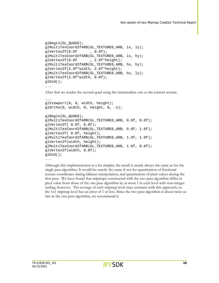```
glBegin(GL_QUADS);
glMultiTexCoord2fARB(GL_TEXTURE0_ARB, lx, ly);
glMultiTexCoord2fARB(GL_TEXTURE0_ARB, lx, hy);
glMultiTexCoord2fARB(GL_TEXTURE0_ARB, hx, hy);
glMultiTexCoord2fARB(GL_TEXTURE0_ARB, hx, ly);
glVertex2f(0.0f , 0.0f); 
glVertex2f(0.0f , 2.0f*height); 
glVertex2f(2.0f*width, 2.0f*height); 
glVertex2f(2.0f*width, 0.0f); 
glEnd();
```

```
...
```
After that we render the second quad using the intermediate one as the current texture.

```
glViewport(0, 0, width, height);
glOrtho(0, width, 0, height, 0, -1);
glBegin(GL_QUADS);
glMultiTexCoord2fARB(GL_TEXTURE0_ARB, 0.0f, 0.0f);
glMultiTexCoord2fARB(GL_TEXTURE0_ARB, 0.0f, 1.0f);
glMultiTexCoord2fARB(GL_TEXTURE0_ARB, 1.0f, 1.0f);
glMultiTexCoord2fARB(GL_TEXTURE0_ARB, 1.0f, 0.0f);
... 
glVertex2f( 0.0f, 0.0f); 
glVertex2f( 0.0f, height); 
glVertex2f(width, height); 
glVertex2f(width, 0.0f); 
glEnd(); 
...
```
Although this implementation is a lot simpler, the result is nearly always the same as for the texture coordinates during bilinear interpolation, and quantization of pixel values during the single pass algorithm. It would be exactly the same if not for quantization of fractional first pass. We have found that mipmaps constructed with the two pass algorithm differ in pixel value from those of the one pass algorithm by at most 1 in each level with non-integer scaling, however. The average of each mipmap level stays constant with this approach; so the 1x1 mipmap level has an error of 1 or less. Since the two pass algorithm is about twice as fast as the one pass algorithm, we recommend it.